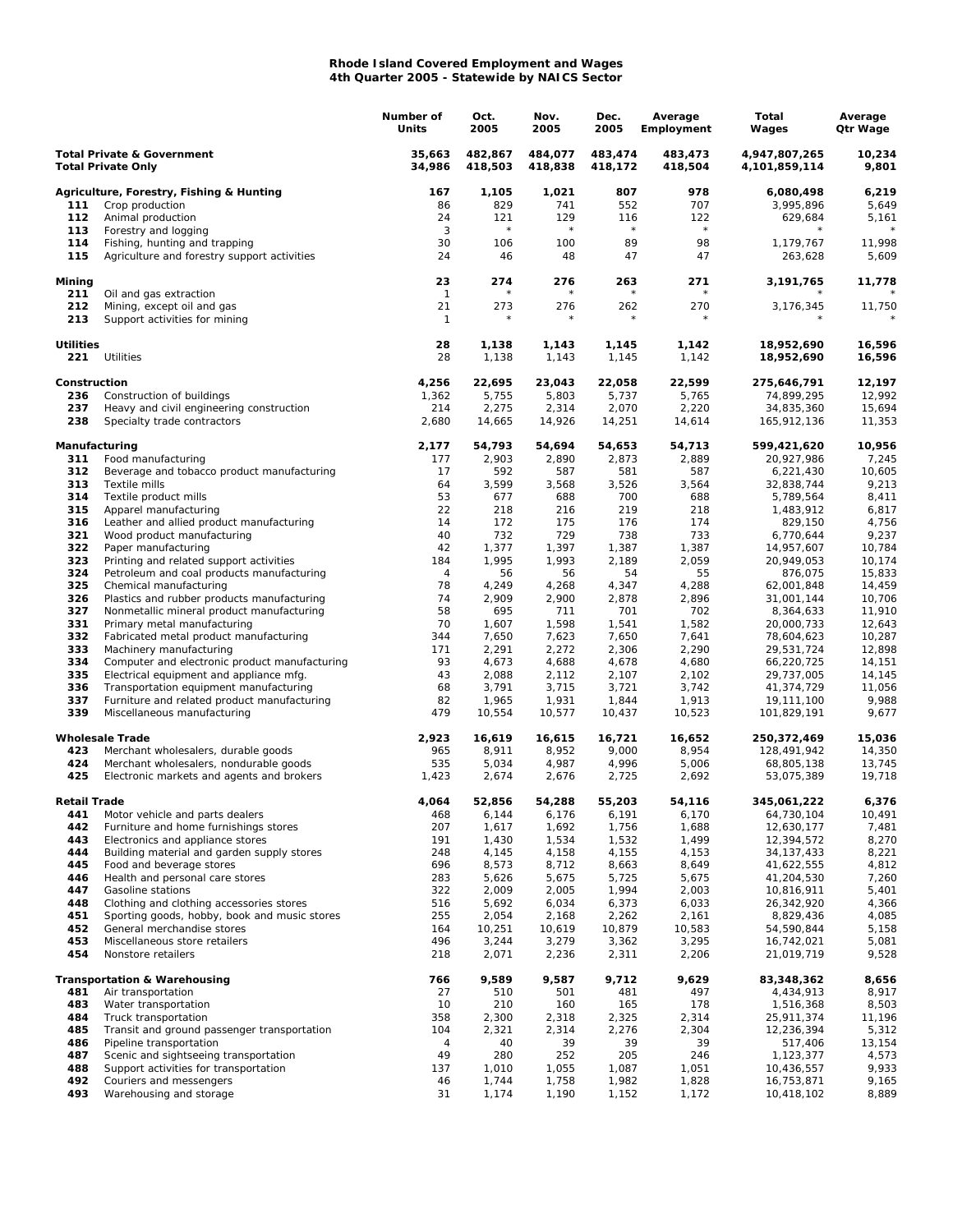## **Rhode Island Covered Employment and Wages 4th Quarter 2005 - Statewide by NAICS Sector**

|                                                                    |                                                                                         | Number of<br>Units   | Oct.<br>2005       | Nov.<br>2005       | Dec.<br>2005       | Average<br>Employment | Total<br>Wages                 | Average<br>Qtr Wage |
|--------------------------------------------------------------------|-----------------------------------------------------------------------------------------|----------------------|--------------------|--------------------|--------------------|-----------------------|--------------------------------|---------------------|
| <b>Total Private &amp; Government</b><br><b>Total Private Only</b> |                                                                                         | 35,663<br>34,986     | 482,867<br>418,503 | 484,077<br>418,838 | 483,474<br>418,172 | 483,473<br>418,504    | 4,947,807,265<br>4,101,859,114 | 10,234<br>9,801     |
|                                                                    | Agriculture, Forestry, Fishing & Hunting                                                | 167                  | 1,105              | 1,021              | 807                | 978                   | 6,080,498                      | 6,219               |
| 111                                                                | Crop production                                                                         | 86                   | 829                | 741                | 552                | 707                   | 3,995,896                      | 5,649               |
| 112                                                                | Animal production                                                                       | 24                   | 121                | 129                | 116                | 122                   | 629,684                        | 5,161               |
| 113                                                                | Forestry and logging                                                                    | 3                    | $\star$            | $\star$            | $\star$            | $\star$               | $^{\star}$                     |                     |
| 114<br>115                                                         | Fishing, hunting and trapping<br>Agriculture and forestry support activities            | 30<br>24             | 106<br>46          | 100<br>48          | 89<br>47           | 98<br>47              | 1,179,767<br>263,628           | 11,998<br>5,609     |
| Mining<br>211                                                      | Oil and gas extraction                                                                  | 23<br>$\mathbf{1}$   | 274                | 276                | 263                | 271                   | 3,191,765                      | 11,778              |
| 212<br>213                                                         | Mining, except oil and gas<br>Support activities for mining                             | 21<br>$\mathbf{1}$   | 273                | 276                | 262                | 270                   | 3,176,345                      | 11,750              |
| <b>Utilities</b>                                                   |                                                                                         | 28                   | 1,138              | 1,143              | 1,145              | 1,142                 | 18,952,690                     | 16,596              |
| 221                                                                | Utilities                                                                               | 28                   | 1,138              | 1,143              | 1,145              | 1,142                 | 18,952,690                     | 16,596              |
| Construction<br>236                                                | Construction of buildings                                                               | 4,256<br>1,362       | 22,695<br>5,755    | 23,043<br>5,803    | 22,058<br>5,737    | 22,599<br>5,765       | 275,646,791<br>74,899,295      | 12,197<br>12,992    |
| 237                                                                | Heavy and civil engineering construction                                                | 214                  | 2,275              | 2,314              | 2,070              | 2,220                 | 34,835,360                     | 15,694              |
| 238                                                                | Specialty trade contractors                                                             | 2,680                | 14,665             | 14,926             | 14,251             | 14,614                | 165,912,136                    | 11,353              |
| Manufacturing                                                      |                                                                                         | 2,177                | 54,793             | 54,694             | 54,653             | 54,713                | 599,421,620                    | 10,956              |
| 311                                                                | Food manufacturing                                                                      | 177                  | 2,903              | 2,890              | 2,873              | 2,889                 | 20,927,986                     | 7,245               |
| 312                                                                | Beverage and tobacco product manufacturing                                              | 17                   | 592                | 587                | 581                | 587                   | 6,221,430                      | 10,605              |
| 313<br>314                                                         | Textile mills<br>Textile product mills                                                  | 64<br>53             | 3,599<br>677       | 3,568<br>688       | 3,526<br>700       | 3,564<br>688          | 32,838,744<br>5,789,564        | 9,213<br>8,411      |
| 315                                                                | Apparel manufacturing                                                                   | 22                   | 218                | 216                | 219                | 218                   | 1,483,912                      | 6,817               |
| 316                                                                | Leather and allied product manufacturing                                                | 14                   | 172                | 175                | 176                | 174                   | 829,150                        | 4,756               |
| 321                                                                | Wood product manufacturing                                                              | 40                   | 732                | 729                | 738                | 733                   | 6,770,644                      | 9,237               |
| 322                                                                | Paper manufacturing                                                                     | 42                   | 1,377              | 1,397              | 1,387              | 1,387                 | 14,957,607                     | 10,784              |
| 323                                                                | Printing and related support activities                                                 | 184                  | 1,995              | 1,993              | 2,189              | 2,059                 | 20,949,053                     | 10,174              |
| 324                                                                | Petroleum and coal products manufacturing                                               | 4                    | 56                 | 56                 | 54                 | 55                    | 876,075                        | 15,833              |
| 325                                                                | Chemical manufacturing                                                                  | 78                   | 4,249              | 4,268              | 4,347              | 4,288                 | 62,001,848                     | 14,459              |
| 326<br>327                                                         | Plastics and rubber products manufacturing<br>Nonmetallic mineral product manufacturing | 74<br>58             | 2,909<br>695       | 2,900<br>711       | 2,878<br>701       | 2,896<br>702          | 31,001,144<br>8,364,633        | 10,706<br>11,910    |
| 331                                                                | Primary metal manufacturing                                                             | 70                   | 1,607              | 1,598              | 1,541              | 1,582                 | 20,000,733                     | 12,643              |
| 332                                                                | Fabricated metal product manufacturing                                                  | 344                  | 7,650              | 7,623              | 7,650              | 7,641                 | 78,604,623                     | 10,287              |
| 333                                                                | Machinery manufacturing                                                                 | 171                  | 2,291              | 2,272              | 2,306              | 2,290                 | 29,531,724                     | 12,898              |
| 334                                                                | Computer and electronic product manufacturing                                           | 93                   | 4,673              | 4,688              | 4,678              | 4,680                 | 66,220,725                     | 14,151              |
| 335                                                                | Electrical equipment and appliance mfg.                                                 | 43                   | 2,088              | 2,112              | 2,107              | 2,102                 | 29,737,005                     | 14,145              |
| 336                                                                | Transportation equipment manufacturing                                                  | 68                   | 3,791              | 3,715              | 3,721              | 3,742                 | 41,374,729                     | 11,056              |
| 337                                                                | Furniture and related product manufacturing                                             | 82                   | 1,965              | 1,931              | 1,844              | 1,913                 | 19,111,100                     | 9,988               |
| 339                                                                | Miscellaneous manufacturing                                                             | 479                  | 10,554             | 10,577             | 10,437             | 10,523                | 101,829,191                    | 9,677               |
|                                                                    | <b>Wholesale Trade</b>                                                                  | 2,923                | 16,619             | 16,615             | 16,721             | 16,652                | 250,372,469                    | 15,036              |
| 423                                                                | Merchant wholesalers, durable goods                                                     | 965                  | 8,911              | 8,952              | 9,000              | 8,954                 | 128,491,942                    | 14,350              |
| 424<br>425                                                         | Merchant wholesalers, nondurable goods<br>Electronic markets and agents and brokers     | 535<br>1,423         | 5,034<br>2,674     | 4,987<br>2,676     | 4,996<br>2,725     | 5,006<br>2,692        | 68,805,138<br>53,075,389       | 13,745<br>19,718    |
| <b>Retail Trade</b>                                                |                                                                                         | 4.064                | 52,856             | 54,288             | 55,203             | 54,116                | 345,061,222                    | 6,376               |
| 441                                                                | Motor vehicle and parts dealers                                                         | 468                  | 6,144              | 6,176              | 6,191              | 6,170                 | 64,730,104                     | 10,491              |
| 442                                                                | Furniture and home furnishings stores                                                   | 207                  | 1,617              | 1,692              | 1,756              | 1,688                 | 12,630,177                     | 7,481               |
| 443<br>444                                                         | Electronics and appliance stores<br>Building material and garden supply stores          | 191<br>248           | 1,430<br>4,145     | 1,534<br>4,158     | 1,532<br>4,155     | 1,499<br>4,153        | 12,394,572<br>34, 137, 433     | 8,270<br>8,221      |
| 445                                                                | Food and beverage stores                                                                | 696                  | 8,573              | 8,712              | 8,663              | 8,649                 | 41,622,555                     | 4,812               |
| 446                                                                | Health and personal care stores                                                         | 283                  | 5,626              | 5,675              | 5,725              | 5,675                 | 41,204,530                     | 7,260               |
| 447                                                                | Gasoline stations                                                                       | 322                  | 2,009              | 2,005              | 1,994              | 2,003                 | 10,816,911                     | 5,401               |
| 448                                                                | Clothing and clothing accessories stores                                                | 516                  | 5,692              | 6,034              | 6,373              | 6,033                 | 26,342,920                     | 4,366               |
| 451                                                                | Sporting goods, hobby, book and music stores                                            | 255                  | 2,054              | 2,168              | 2,262              | 2,161                 | 8,829,436                      | 4,085               |
| 452                                                                | General merchandise stores                                                              | 164                  | 10,251             | 10,619             | 10,879             | 10,583                | 54,590,844                     | 5,158               |
| 453<br>454                                                         | Miscellaneous store retailers<br>Nonstore retailers                                     | 496<br>218           | 3,244<br>2,071     | 3,279<br>2,236     | 3,362<br>2,311     | 3,295<br>2,206        | 16,742,021<br>21,019,719       | 5,081<br>9,528      |
|                                                                    | <b>Transportation &amp; Warehousing</b>                                                 | 766                  | 9,589              | 9,587              | 9,712              | 9,629                 | 83,348,362                     | 8,656               |
| 481                                                                | Air transportation                                                                      | 27                   | 510                | 501                | 481                | 497                   | 4,434,913                      | 8,917               |
| 483                                                                | Water transportation                                                                    | 10                   | 210                | 160                | 165                | 178                   | 1,516,368                      | 8,503               |
| 484                                                                | Truck transportation                                                                    | 358                  | 2,300              | 2,318              | 2,325              | 2,314                 | 25,911,374                     | 11,196              |
| 485                                                                | Transit and ground passenger transportation                                             | 104                  | 2,321              | 2,314              | 2,276              | 2,304                 | 12,236,394                     | 5,312               |
| 486<br>487                                                         | Pipeline transportation<br>Scenic and sightseeing transportation                        | $\overline{4}$<br>49 | 40<br>280          | 39<br>252          | 39<br>205          | 39<br>246             | 517,406<br>1,123,377           | 13,154<br>4,573     |
| 488                                                                | Support activities for transportation                                                   | 137                  | 1,010              | 1,055              | 1,087              | 1,051                 | 10,436,557                     | 9,933               |
| 492                                                                | Couriers and messengers                                                                 | 46                   | 1,744              | 1,758              | 1,982              | 1,828                 | 16,753,871                     | 9,165               |
| 493                                                                | Warehousing and storage                                                                 | 31                   | 1,174              | 1,190              | 1,152              | 1,172                 | 10,418,102                     | 8,889               |